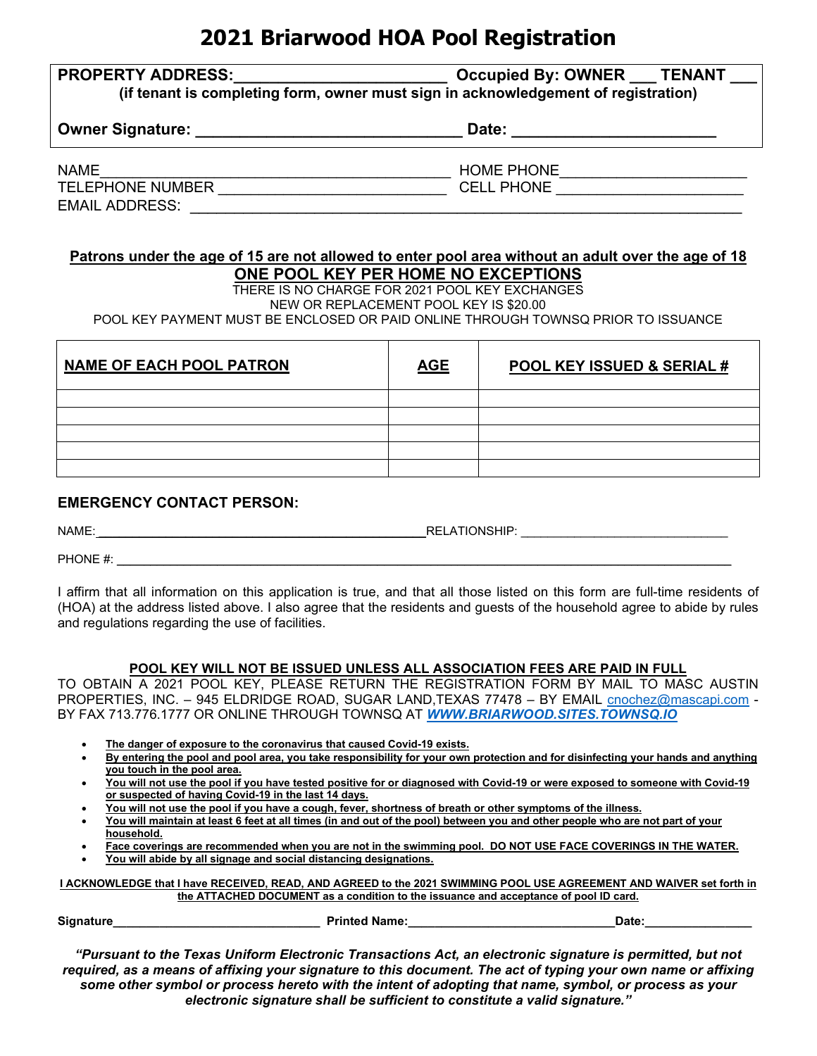# **2021 Briarwood HOA Pool Registration**

|  | <b>PROPERTY ADDRESS:</b> |  |  |  |  |
|--|--------------------------|--|--|--|--|
|  |                          |  |  |  |  |

**PROPERTY ADDRESS:** OWNER **LEAD TENANT (if tenant is completing form, owner must sign in acknowledgement of registration)** 

**Owner Signature: \_\_\_\_\_\_\_\_\_\_\_\_\_\_\_\_\_\_\_\_\_\_\_\_\_\_\_\_\_\_ Date: \_\_\_\_\_\_\_\_\_\_\_\_\_\_\_\_\_\_\_\_\_\_\_**

| <b>NAME</b>             | <b>HOME PHONE</b>    |
|-------------------------|----------------------|
| <b>TELEPHONE NUMBER</b> | <b>PHONE</b><br>CELL |
| <b>EMAIL ADDRESS:</b>   |                      |

#### **Patrons under the age of 15 are not allowed to enter pool area without an adult over the age of 18 ONE POOL KEY PER HOME NO EXCEPTIONS**

THERE IS NO CHARGE FOR 2021 POOL KEY EXCHANGES NEW OR REPLACEMENT POOL KEY IS \$20.00

POOL KEY PAYMENT MUST BE ENCLOSED OR PAID ONLINE THROUGH TOWNSQ PRIOR TO ISSUANCE

| <b>NAME OF EACH POOL PATRON</b> | <b>AGE</b> | <b>POOL KEY ISSUED &amp; SERIAL #</b> |
|---------------------------------|------------|---------------------------------------|
|                                 |            |                                       |
|                                 |            |                                       |
|                                 |            |                                       |
|                                 |            |                                       |
|                                 |            |                                       |

### **EMERGENCY CONTACT PERSON:**

NAME: \_\_\_\_\_\_\_\_\_\_\_\_\_\_\_\_\_\_\_\_\_\_\_\_\_\_\_\_\_\_\_\_\_\_\_\_\_\_\_\_\_\_\_\_\_\_\_\_\_RELATIONSHIP: \_\_\_\_\_\_\_\_\_\_\_\_\_\_\_\_\_\_\_\_\_\_\_\_\_\_\_\_\_\_\_

PHONE #:

I affirm that all information on this application is true, and that all those listed on this form are full-time residents of (HOA) at the address listed above. I also agree that the residents and guests of the household agree to abide by rules and regulations regarding the use of facilities.

#### **POOL KEY WILL NOT BE ISSUED UNLESS ALL ASSOCIATION FEES ARE PAID IN FULL**

TO OBTAIN A 2021 POOL KEY, PLEASE RETURN THE REGISTRATION FORM BY MAIL TO MASC AUSTIN PROPERTIES, INC. - 945 ELDRIDGE ROAD, SUGAR LAND, TEXAS 77478 - BY EMAIL [cnochez@mascapi.com](mailto:cnochez@mascapi.com) -BY FAX 713.776.1777 OR ONLINE THROUGH TOWNSQ AT *[WWW.BRIARWOOD.SITES.TOWNSQ.IO](http://www.briarwood.sites.townsq.io/)*

- **The danger of exposure to the coronavirus that caused Covid-19 exists.**
- **By entering the pool and pool area, you take responsibility for your own protection and for disinfecting your hands and anything you touch in the pool area.**
- **You will not use the pool if you have tested positive for or diagnosed with Covid-19 or were exposed to someone with Covid-19 or suspected of having Covid-19 in the last 14 days.**
- **You will not use the pool if you have a cough, fever, shortness of breath or other symptoms of the illness.**
- **You will maintain at least 6 feet at all times (in and out of the pool) between you and other people who are not part of your household.**
- **Face coverings are recommended when you are not in the swimming pool. DO NOT USE FACE COVERINGS IN THE WATER.**
- **You will abide by all signage and social distancing designations.**

**I ACKNOWLEDGE that I have RECEIVED, READ, AND AGREED to the 2021 SWIMMING POOL USE AGREEMENT AND WAIVER set forth in the ATTACHED DOCUMENT as a condition to the issuance and acceptance of pool ID card.** 

**Signature\_\_\_\_\_\_\_\_\_\_\_\_\_\_\_\_\_\_\_\_\_\_\_\_\_\_\_\_\_\_\_ Printed Name:\_\_\_\_\_\_\_\_\_\_\_\_\_\_\_\_\_\_\_\_\_\_\_\_\_\_\_\_\_\_\_Date:\_\_\_\_\_\_\_\_\_\_\_\_\_\_\_\_** 

*"Pursuant to the Texas Uniform Electronic Transactions Act, an electronic signature is permitted, but not required, as a means of affixing your signature to this document. The act of typing your own name or affixing some other symbol or process hereto with the intent of adopting that name, symbol, or process as your electronic signature shall be sufficient to constitute a valid signature."*